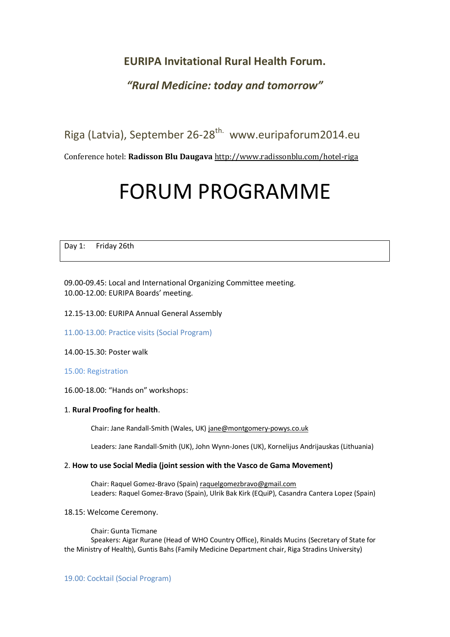# **EURIPA Invitational Rural Health Forum.**

# *"Rural Medicine: today and tomorrow"*

Riga (Latvia), September 26-28<sup>th.</sup> www.euripaforum2014.eu

Conference hotel: **Radisson Blu Daugava** <http://www.radissonblu.com/hotel-riga>

# FORUM PROGRAMME

Day 1: Friday 26th

09.00-09.45: Local and International Organizing Committee meeting. 10.00-12.00: EURIPA Boards' meeting.

#### 12.15-13.00: EURIPA Annual General Assembly

11.00-13.00: Practice visits (Social Program)

14.00-15.30: Poster walk

15.00: Registration

16.00-18.00: "Hands on" workshops:

#### 1. **Rural Proofing for health**.

Chair: Jane Randall-Smith (Wales, UK[\) jane@montgomery-powys.co.uk](mailto:jane@montgomery-powys.co.uk)

Leaders: Jane Randall-Smith (UK), John Wynn-Jones (UK), Kornelijus Andrijauskas (Lithuania)

#### 2. **How to use Social Media (joint session with the Vasco de Gama Movement)**

Chair: Raquel Gomez-Bravo (Spain[\) raquelgomezbravo@gmail.com](mailto:raquelgomezbravo@gmail.com) Leaders: Raquel Gomez-Bravo (Spain), Ulrik Bak Kirk (EQuiP), Casandra Cantera Lopez (Spain)

#### 18.15: Welcome Ceremony.

Chair: Gunta Ticmane

Speakers: Aigar Rurane (Head of WHO Country Office), Rinalds Mucins (Secretary of State for the Ministry of Health), Guntis Bahs (Family Medicine Department chair, Riga Stradins University)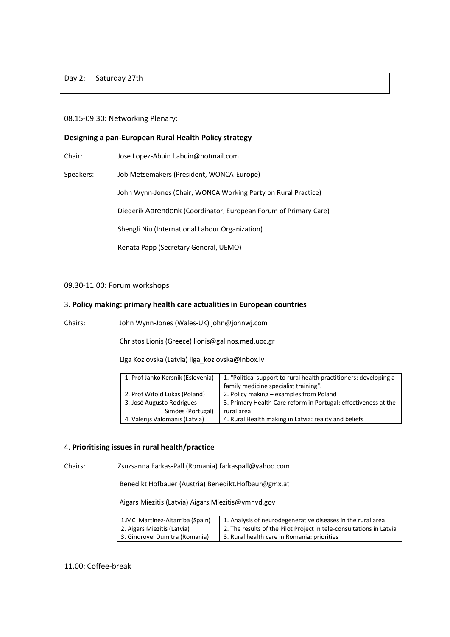Day 2: Saturday 27th

#### 08.15-09.30: Networking Plenary:

#### **Designing a pan-European Rural Health Policy strategy**

Chair: Jose Lopez-Abuin l.abuin@hotmail.com

Speakers: Job Metsemakers (President, WONCA-Europe)

John Wynn-Jones (Chair, WONCA Working Party on Rural Practice)

Diederik Aarendonk (Coordinator, European Forum of Primary Care)

Shengli Niu (International Labour Organization)

Renata Papp (Secretary General, UEMO)

#### 09.30-11.00: Forum workshops

#### 3. **Policy making: primary health care actualities in European countries**

Chairs: John Wynn-Jones (Wales-UK) john@johnwj.com

Christos Lionis (Greece) lionis@galinos.med.uoc.gr

Liga Kozlovska (Latvia[\) liga\\_kozlovska@inbox.lv](mailto:liga_kozlovska@inbox.lv)

| 1. Prof Janko Kersnik (Eslovenia)                          | 1. "Political support to rural health practitioners: developing a<br>family medicine specialist training". |
|------------------------------------------------------------|------------------------------------------------------------------------------------------------------------|
| 2. Prof Witold Lukas (Poland)<br>3. José Augusto Rodrigues | 2. Policy making - examples from Poland<br>3. Primary Health Care reform in Portugal: effectiveness at the |
| Simões (Portugal)                                          | rural area                                                                                                 |
| 4. Valerijs Valdmanis (Latvia)                             | 4. Rural Health making in Latvia: reality and beliefs                                                      |

#### 4. **Prioritising issues in rural health/practic**e

Chairs: Zsuzsanna Farkas-Pall (Romania) farkaspall@yahoo.com

Benedikt Hofbauer (Austria) Benedikt.Hofbaur@gmx.at

Aigars Miezitis (Latvia) Aigars.Miezitis@vmnvd.gov

| 1.MC Martinez-Altarriba (Spain) | 1. Analysis of neurodegenerative diseases in the rural area         |
|---------------------------------|---------------------------------------------------------------------|
| 2. Aigars Miezitis (Latvia)     | 2. The results of the Pilot Project in tele-consultations in Latvia |
| 3. Gindrovel Dumitra (Romania)  | 3. Rural health care in Romania: priorities                         |

#### 11.00: Coffee-break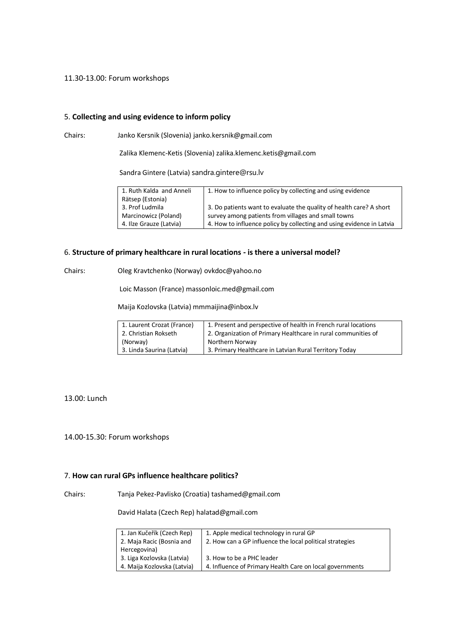#### 11.30-13.00: Forum workshops

#### 5. **Collecting and using evidence to inform policy**

Chairs: Janko Kersnik (Slovenia) janko.kersnik@gmail.com

Zalika Klemenc-Ketis (Slovenia) zalika.klemenc.ketis@gmail.com

Sandra Gintere (Latvia) sandra.gintere@rsu.lv

| 1. Ruth Kalda and Anneli | 1. How to influence policy by collecting and using evidence           |
|--------------------------|-----------------------------------------------------------------------|
| Rätsep (Estonia)         |                                                                       |
| 3. Prof Ludmila          | 3. Do patients want to evaluate the quality of health care? A short   |
| Marcinowicz (Poland)     | survey among patients from villages and small towns                   |
| 4. Ilze Grauze (Latvia)  | 4. How to influence policy by collecting and using evidence in Latvia |

#### 6. **Structure of primary healthcare in rural locations - is there a universal model?**

Chairs: Oleg Kravtchenko (Norway) ovkdoc@yahoo.no

Loic Masson (France) massonloic.med@gmail.com

Maija Kozlovska (Latvia[\) mmmaijina@inbox.lv](mailto:mmmaijina@inbox.lv)

| 1. Laurent Crozat (France) | 1. Present and perspective of health in French rural locations |
|----------------------------|----------------------------------------------------------------|
| 2. Christian Rokseth       | 2. Organization of Primary Healthcare in rural communities of  |
| (Norway)                   | Northern Norway                                                |
| 3. Linda Saurina (Latvia)  | 3. Primary Healthcare in Latvian Rural Territory Today         |

13.00: Lunch

14.00-15.30: Forum workshops

#### 7. **How can rural GPs influence healthcare politics?**

Chairs: Tanja Pekez-Pavlisko (Croatia) tashamed@gmail.com

David Halata (Czech Rep) halatad@gmail.com

| 1. Jan Kučeřík (Czech Rep)  | 1. Apple medical technology in rural GP                  |
|-----------------------------|----------------------------------------------------------|
| 2. Maja Racic (Bosnia and   | 2. How can a GP influence the local political strategies |
| Hercegovina)                |                                                          |
| 3. Liga Kozlovska (Latvia)  | 3. How to be a PHC leader                                |
| 4. Maija Kozlovska (Latvia) | 4. Influence of Primary Health Care on local governments |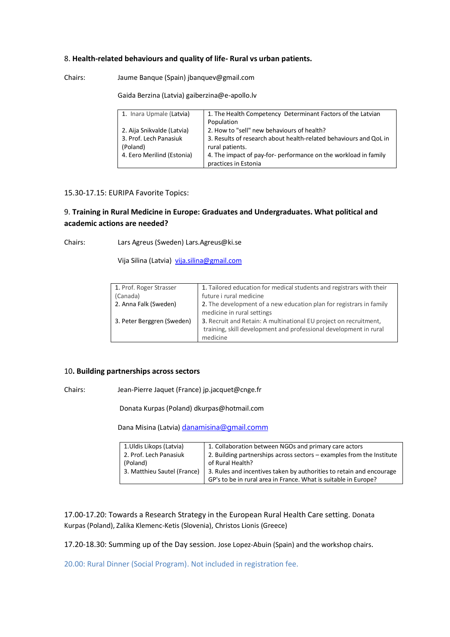#### 8. **Health-related behaviours and quality of life- Rural vs urban patients.**

Chairs: Jaume Banque (Spain) jbanquev@gmail.com

Gaida Berzina (Latvia) [gaiberzina@e-apollo.lv](mailto:gaiberzina@e-apollo.lv)

| 1. Inara Upmale (Latvia)   | 1. The Health Competency Determinant Factors of the Latvian<br>Population |
|----------------------------|---------------------------------------------------------------------------|
| 2. Aija Snikvalde (Latvia) | 2. How to "sell" new behaviours of health?                                |
| 3. Prof. Lech Panasiuk     | 3. Results of research about health-related behaviours and QoL in         |
| (Poland)                   | rural patients.                                                           |
| 4. Eero Merilind (Estonia) | 4. The impact of pay-for- performance on the workload in family           |
|                            | practices in Estonia                                                      |

#### 15.30-17.15: EURIPA Favorite Topics:

# 9. **Training in Rural Medicine in Europe: Graduates and Undergraduates. What political and academic actions are needed?**

Chairs: Lars Agreus (Sweden) Lars.Agreus@ki.se

Vija Silina (Latvia) [vija.silina@gmail.com](mailto:vija.silina@gmail.com)

| 1. Tailored education for medical students and registrars with their |
|----------------------------------------------------------------------|
| future i rural medicine                                              |
| 2. The development of a new education plan for registrars in family  |
| medicine in rural settings                                           |
| 3. Recruit and Retain: A multinational EU project on recruitment,    |
| training, skill development and professional development in rural    |
| medicine                                                             |
|                                                                      |

#### 10**. Building partnerships across sectors**

Chairs: Jean-Pierre Jaquet (France) jp.jacquet@cnge.fr

Donata Kurpas (Poland) dkurpas@hotmail.com

Dana Misina (Latvia) [danamisina@gmail.comm](mailto:danamisina@gmail.comm)

| 1. Uldis Likops (Latvia)    | 1. Collaboration between NGOs and primary care actors                 |
|-----------------------------|-----------------------------------------------------------------------|
| 2. Prof. Lech Panasiuk      | 2. Building partnerships across sectors - examples from the Institute |
| (Poland)                    | of Rural Health?                                                      |
| 3. Matthieu Sautel (France) | 3. Rules and incentives taken by authorities to retain and encourage  |
|                             | GP's to be in rural area in France. What is suitable in Europe?       |

17.00-17.20: Towards a Research Strategy in the European Rural Health Care setting. Donata Kurpas (Poland), Zalika Klemenc-Ketis (Slovenia), Christos Lionis (Greece)

17.20-18.30: Summing up of the Day session. Jose Lopez-Abuin (Spain) and the workshop chairs.

20.00: Rural Dinner (Social Program). Not included in registration fee.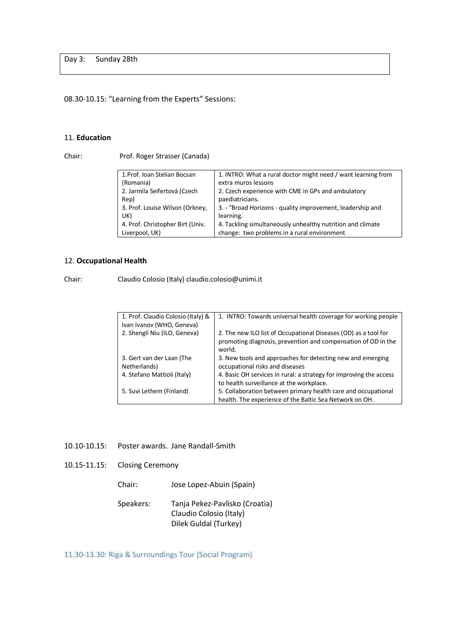Day 3: Sunday 28th

# 08.30-10.15: "Learning from the Experts" Sessions:

## 11. **Education**

Chair: Prof. Roger Strasser (Canada)

| 1. Prof. Ioan Stelian Bocsan     | 1. INTRO: What a rural doctor might need / want learning from |
|----------------------------------|---------------------------------------------------------------|
| (Romania)                        | extra muros lessons                                           |
| 2. Jarmila Seifertová (Czech     | 2. Czech experience with CME in GPs and ambulatory            |
| Rep)                             | paediatricians.                                               |
| 3. Prof. Louise Wilson (Orkney,  | 3. - "Broad Horizons - quality improvement, leadership and    |
| UK)                              | learning.                                                     |
| 4. Prof. Christopher Birt (Univ. | 4. Tackling simultaneously unhealthy nutrition and climate    |
| Liverpool, UK)                   | change: two problems in a rural environment                   |

#### 12. **Occupational Health**

Chair: Claudio Colosio (Italy) claudio.colosio@unimi.it

| 1. Prof. Claudio Colosio (Italy) &        | 1. INTRO: Towards universal health coverage for working people                                                                             |
|-------------------------------------------|--------------------------------------------------------------------------------------------------------------------------------------------|
| Ivan Ivanov (WHO, Geneva)                 |                                                                                                                                            |
| 2. Shengli Niu (ILO, Geneva)              | 2. The new ILO list of Occupational Diseases (OD) as a tool for<br>promoting diagnosis, prevention and compensation of OD in the<br>world. |
| 3. Gert van der Laan (The<br>Netherlands) | 3. New tools and approaches for detecting new and emerging<br>occupational risks and diseases                                              |
| 4. Stefano Mattioli (Italy)               | 4. Basic OH services in rural: a strategy for improving the access<br>to health surveillance at the workplace.                             |
| 5. Suvi Lethem (Finland)                  | 5. Collaboration between primary health care and occupational<br>health. The experience of the Baltic Sea Network on OH.                   |

## 10.10-10.15: Poster awards. Jane Randall-Smith

- 10.15-11.15: Closing Ceremony
	- Chair: Jose Lopez-Abuin (Spain)

| Speakers: | Tanja Pekez-Pavlisko (Croatia) |
|-----------|--------------------------------|
|           | Claudio Colosio (Italy)        |
|           | Dilek Guldal (Turkey)          |

11.30-13.30: Riga & Surroundings Tour (Social Program)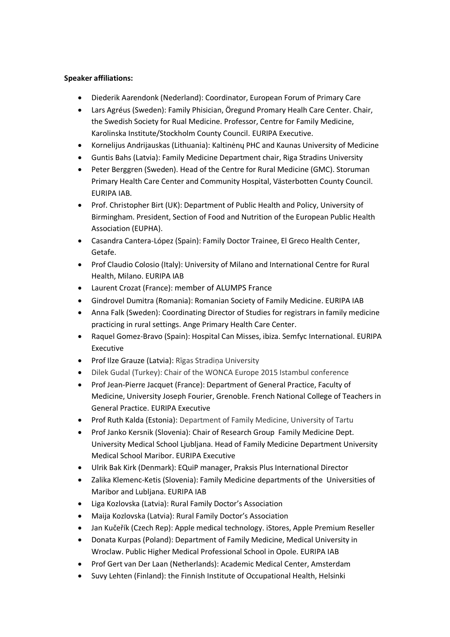## **Speaker affiliations:**

- Diederik Aarendonk (Nederland): Coordinator, European Forum of Primary Care
- Lars Agréus (Sweden): Family Phisician, Öregund Promary Healh Care Center. Chair, the Swedish Society for Rual Medicine. Professor, Centre for Family Medicine, Karolinska Institute/Stockholm County Council. EURIPA Executive.
- Kornelijus Andrijauskas (Lithuania): Kaltinėnų PHC and Kaunas University of Medicine
- Guntis Bahs (Latvia): Family Medicine Department chair, Riga Stradins University
- Peter Berggren (Sweden). Head of the Centre for Rural Medicine (GMC). Storuman Primary Health Care Center and Community Hospital, Västerbotten County Council. EURIPA IAB.
- Prof. Christopher Birt (UK): Department of Public Health and Policy, University of Birmingham. President, Section of Food and Nutrition of the European Public Health Association (EUPHA).
- Casandra Cantera-López (Spain): Family Doctor Trainee, El Greco Health Center, Getafe.
- Prof Claudio Colosio (Italy): University of Milano and International Centre for Rural Health, Milano. EURIPA IAB
- Laurent Crozat (France): member of ALUMPS France
- Gindrovel Dumitra (Romania): Romanian Society of Family Medicine. EURIPA IAB
- Anna Falk (Sweden): Coordinating Director of Studies for registrars in family medicine practicing in rural settings. Ange Primary Health Care Center.
- Raquel Gomez-Bravo (Spain): Hospital Can Misses, ibiza. Semfyc International. EURIPA Executive
- Prof Ilze Grauze (Latvia): Rīgas Stradina University
- Dilek Gudal (Turkey): Chair of the WONCA Europe 2015 Istambul conference
- Prof Jean-Pierre Jacquet (France): Department of General Practice, Faculty of Medicine, University Joseph Fourier, Grenoble. French National College of Teachers in General Practice. EURIPA Executive
- Prof Ruth Kalda (Estonia): Department of Family Medicine, University of Tartu
- Prof Janko Kersnik (Slovenia): Chair of Research Group Family Medicine Dept. University Medical School Ljubljana. Head of Family Medicine Department University Medical School Maribor. EURIPA Executive
- Ulrik Bak Kirk (Denmark): EQuiP manager, Praksis Plus International Director
- Zalika Klemenc-Ketis (Slovenia): Family Medicine departments of the Universities of Maribor and Lubljana. EURIPA IAB
- Liga Kozlovska (Latvia): Rural Family Doctor's Association
- Maija Kozlovska (Latvia): Rural Family Doctor's Association
- Jan Kučeřík (Czech Rep): Apple medical technology. iStores, Apple Premium Reseller
- Donata Kurpas (Poland): Department of Family Medicine, Medical University in Wroclaw. Public Higher Medical Professional School in Opole. EURIPA IAB
- Prof Gert van Der Laan (Netherlands): Academic Medical Center, Amsterdam
- Suvy Lehten (Finland): the Finnish Institute of Occupational Health, Helsinki